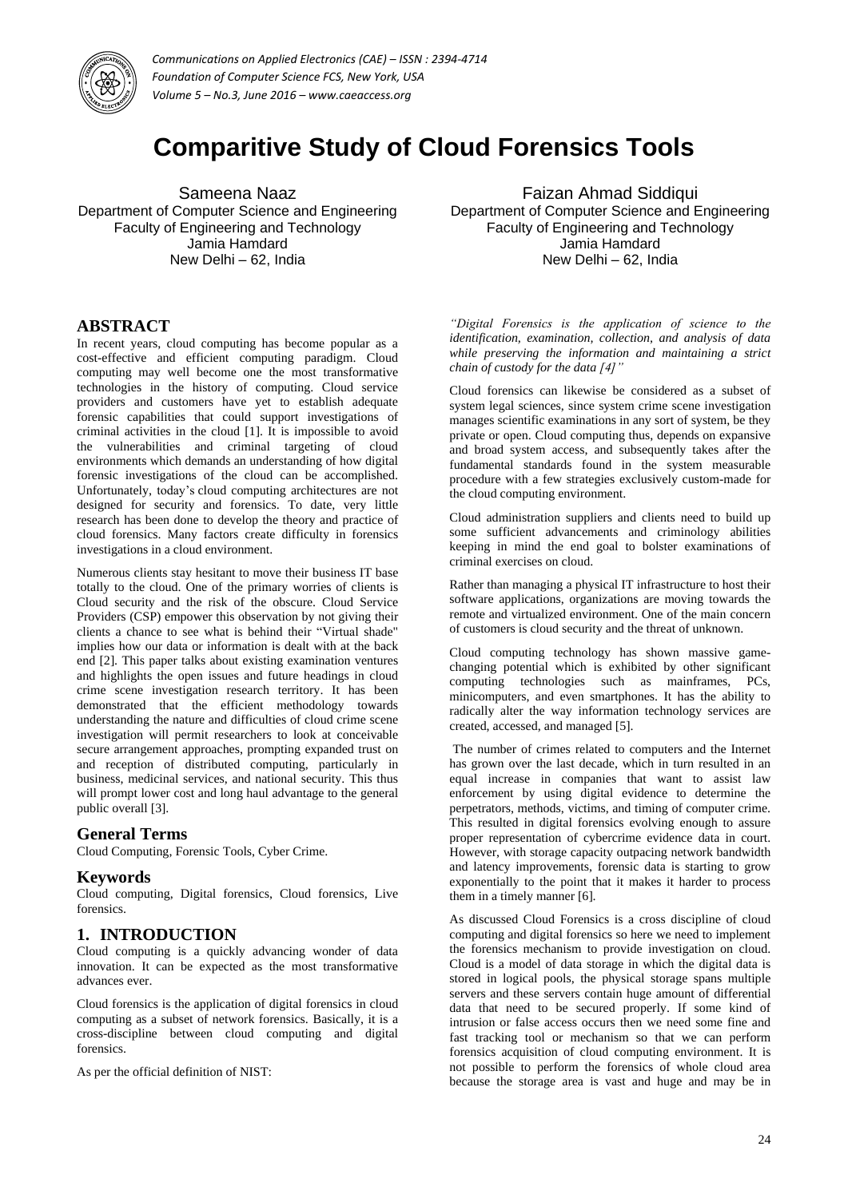

# **Comparitive Study of Cloud Forensics Tools**

Sameena Naaz Department of Computer Science and Engineering Faculty of Engineering and Technology Jamia Hamdard New Delhi – 62, India

# **ABSTRACT**

In recent years, cloud computing has become popular as a cost-effective and efficient computing paradigm. Cloud computing may well become one the most transformative technologies in the history of computing. Cloud service providers and customers have yet to establish adequate forensic capabilities that could support investigations of criminal activities in the cloud [1]. It is impossible to avoid the vulnerabilities and criminal targeting of cloud environments which demands an understanding of how digital forensic investigations of the cloud can be accomplished. Unfortunately, today's cloud computing architectures are not designed for security and forensics. To date, very little research has been done to develop the theory and practice of cloud forensics. Many factors create difficulty in forensics investigations in a cloud environment.

Numerous clients stay hesitant to move their business IT base totally to the cloud. One of the primary worries of clients is Cloud security and the risk of the obscure. Cloud Service Providers (CSP) empower this observation by not giving their clients a chance to see what is behind their "Virtual shade" implies how our data or information is dealt with at the back end [2]. This paper talks about existing examination ventures and highlights the open issues and future headings in cloud crime scene investigation research territory. It has been demonstrated that the efficient methodology towards understanding the nature and difficulties of cloud crime scene investigation will permit researchers to look at conceivable secure arrangement approaches, prompting expanded trust on and reception of distributed computing, particularly in business, medicinal services, and national security. This thus will prompt lower cost and long haul advantage to the general public overall [3].

# **General Terms**

Cloud Computing, Forensic Tools, Cyber Crime.

#### **Keywords**

Cloud computing, Digital forensics, Cloud forensics, Live forensics.

# **1. INTRODUCTION**

Cloud computing is a quickly advancing wonder of data innovation. It can be expected as the most transformative advances ever.

Cloud forensics is the application of digital forensics in cloud computing as a subset of network forensics. Basically, it is a cross-discipline between cloud computing and digital forensics.

As per the official definition of NIST:

Faizan Ahmad Siddiqui Department of Computer Science and Engineering Faculty of Engineering and Technology Jamia Hamdard New Delhi – 62, India

*"Digital Forensics is the application of science to the identification, examination, collection, and analysis of data while preserving the information and maintaining a strict chain of custody for the data [4]"*

Cloud forensics can likewise be considered as a subset of system legal sciences, since system crime scene investigation manages scientific examinations in any sort of system, be they private or open. Cloud computing thus, depends on expansive and broad system access, and subsequently takes after the fundamental standards found in the system measurable procedure with a few strategies exclusively custom-made for the cloud computing environment.

Cloud administration suppliers and clients need to build up some sufficient advancements and criminology abilities keeping in mind the end goal to bolster examinations of criminal exercises on cloud.

Rather than managing a physical IT infrastructure to host their software applications, organizations are moving towards the remote and virtualized environment. One of the main concern of customers is cloud security and the threat of unknown.

Cloud computing technology has shown massive gamechanging potential which is exhibited by other significant computing technologies such as mainframes, PCs, minicomputers, and even smartphones. It has the ability to radically alter the way information technology services are created, accessed, and managed [5].

The number of crimes related to computers and the Internet has grown over the last decade, which in turn resulted in an equal increase in companies that want to assist law enforcement by using digital evidence to determine the perpetrators, methods, victims, and timing of computer crime. This resulted in digital forensics evolving enough to assure proper representation of cybercrime evidence data in court. However, with storage capacity outpacing network bandwidth and latency improvements, forensic data is starting to grow exponentially to the point that it makes it harder to process them in a timely manner [6].

As discussed Cloud Forensics is a cross discipline of cloud computing and digital forensics so here we need to implement the forensics mechanism to provide investigation on cloud. Cloud is a model of data storage in which the digital data is stored in logical pools, the physical storage spans multiple servers and these servers contain huge amount of differential data that need to be secured properly. If some kind of intrusion or false access occurs then we need some fine and fast tracking tool or mechanism so that we can perform forensics acquisition of cloud computing environment. It is not possible to perform the forensics of whole cloud area because the storage area is vast and huge and may be in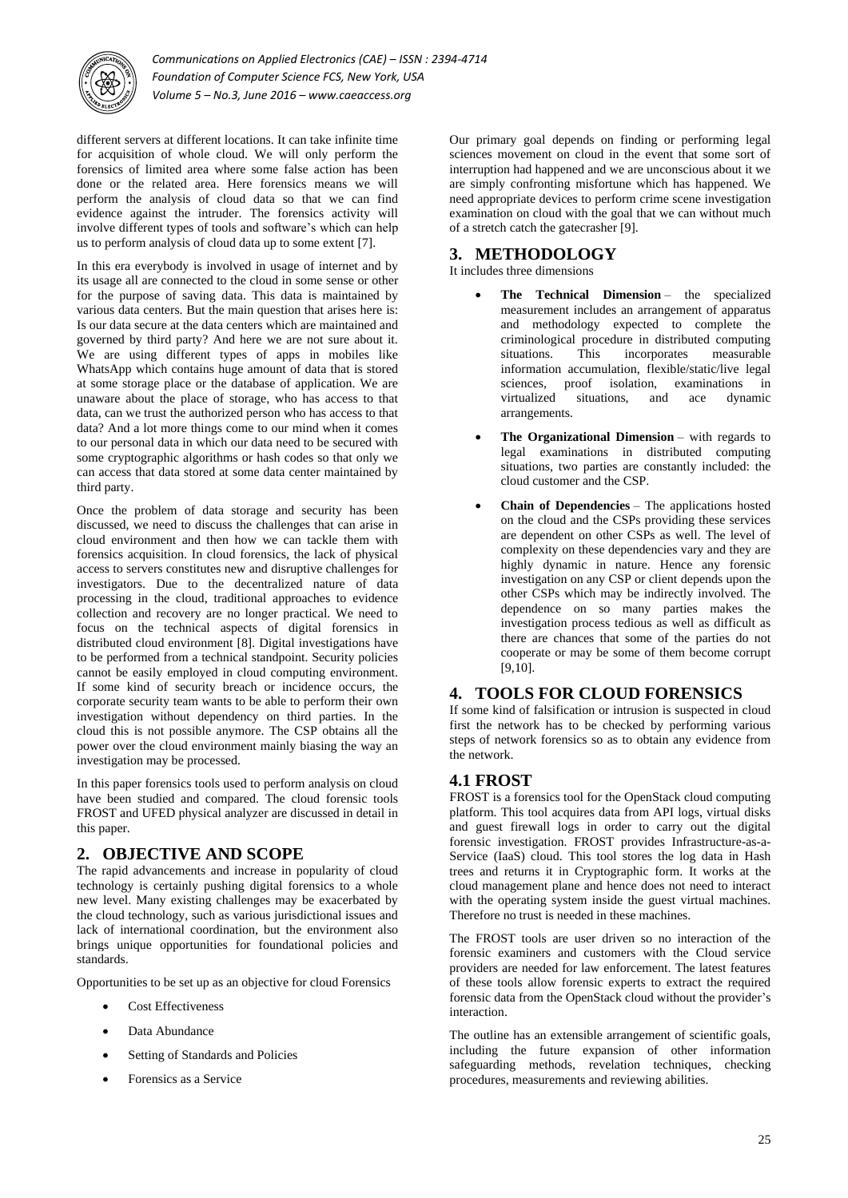

different servers at different locations. It can take infinite time for acquisition of whole cloud. We will only perform the forensics of limited area where some false action has been done or the related area. Here forensics means we will perform the analysis of cloud data so that we can find evidence against the intruder. The forensics activity will involve different types of tools and software's which can help us to perform analysis of cloud data up to some extent [7].

In this era everybody is involved in usage of internet and by its usage all are connected to the cloud in some sense or other for the purpose of saving data. This data is maintained by various data centers. But the main question that arises here is: Is our data secure at the data centers which are maintained and governed by third party? And here we are not sure about it. We are using different types of apps in mobiles like WhatsApp which contains huge amount of data that is stored at some storage place or the database of application. We are unaware about the place of storage, who has access to that data, can we trust the authorized person who has access to that data? And a lot more things come to our mind when it comes to our personal data in which our data need to be secured with some cryptographic algorithms or hash codes so that only we can access that data stored at some data center maintained by third party.

Once the problem of data storage and security has been discussed, we need to discuss the challenges that can arise in cloud environment and then how we can tackle them with forensics acquisition. In cloud forensics, the lack of physical access to servers constitutes new and disruptive challenges for investigators. Due to the decentralized nature of data processing in the cloud, traditional approaches to evidence collection and recovery are no longer practical. We need to focus on the technical aspects of digital forensics in distributed cloud environment [8]. Digital investigations have to be performed from a technical standpoint. Security policies cannot be easily employed in cloud computing environment. If some kind of security breach or incidence occurs, the corporate security team wants to be able to perform their own investigation without dependency on third parties. In the cloud this is not possible anymore. The CSP obtains all the power over the cloud environment mainly biasing the way an investigation may be processed.

In this paper forensics tools used to perform analysis on cloud have been studied and compared. The cloud forensic tools FROST and UFED physical analyzer are discussed in detail in this paper.

# **2. OBJECTIVE AND SCOPE**

The rapid advancements and increase in popularity of cloud technology is certainly pushing digital forensics to a whole new level. Many existing challenges may be exacerbated by the cloud technology, such as various jurisdictional issues and lack of international coordination, but the environment also brings unique opportunities for foundational policies and standards.

Opportunities to be set up as an objective for cloud Forensics

- Cost Effectiveness
- Data Abundance
- Setting of Standards and Policies
- Forensics as a Service

Our primary goal depends on finding or performing legal sciences movement on cloud in the event that some sort of interruption had happened and we are unconscious about it we are simply confronting misfortune which has happened. We need appropriate devices to perform crime scene investigation examination on cloud with the goal that we can without much of a stretch catch the gatecrasher [9].

## **3. METHODOLOGY**

It includes three dimensions

- **The Technical Dimension** the specialized measurement includes an arrangement of apparatus and methodology expected to complete the criminological procedure in distributed computing situations. This incorporates measurable information accumulation, flexible/static/live legal<br>sciences, proof isolation, examinations in sciences, proof isolation, examinations in virtualized situations, and ace dynamic arrangements.
- **The Organizational Dimension** with regards to legal examinations in distributed computing situations, two parties are constantly included: the cloud customer and the CSP.
- **Chain of Dependencies** The applications hosted on the cloud and the CSPs providing these services are dependent on other CSPs as well. The level of complexity on these dependencies vary and they are highly dynamic in nature. Hence any forensic investigation on any CSP or client depends upon the other CSPs which may be indirectly involved. The dependence on so many parties makes the investigation process tedious as well as difficult as there are chances that some of the parties do not cooperate or may be some of them become corrupt [9,10].

# **4. TOOLS FOR CLOUD FORENSICS**

If some kind of falsification or intrusion is suspected in cloud first the network has to be checked by performing various steps of network forensics so as to obtain any evidence from the network.

# **4.1 FROST**

FROST is a forensics tool for the OpenStack cloud computing platform. This tool acquires data from API logs, virtual disks and guest firewall logs in order to carry out the digital forensic investigation. FROST provides Infrastructure-as-a-Service (IaaS) cloud. This tool stores the log data in Hash trees and returns it in Cryptographic form. It works at the cloud management plane and hence does not need to interact with the operating system inside the guest virtual machines. Therefore no trust is needed in these machines.

The FROST tools are user driven so no interaction of the forensic examiners and customers with the Cloud service providers are needed for law enforcement. The latest features of these tools allow forensic experts to extract the required forensic data from the OpenStack cloud without the provider's interaction.

The outline has an extensible arrangement of scientific goals, including the future expansion of other information safeguarding methods, revelation techniques, checking procedures, measurements and reviewing abilities.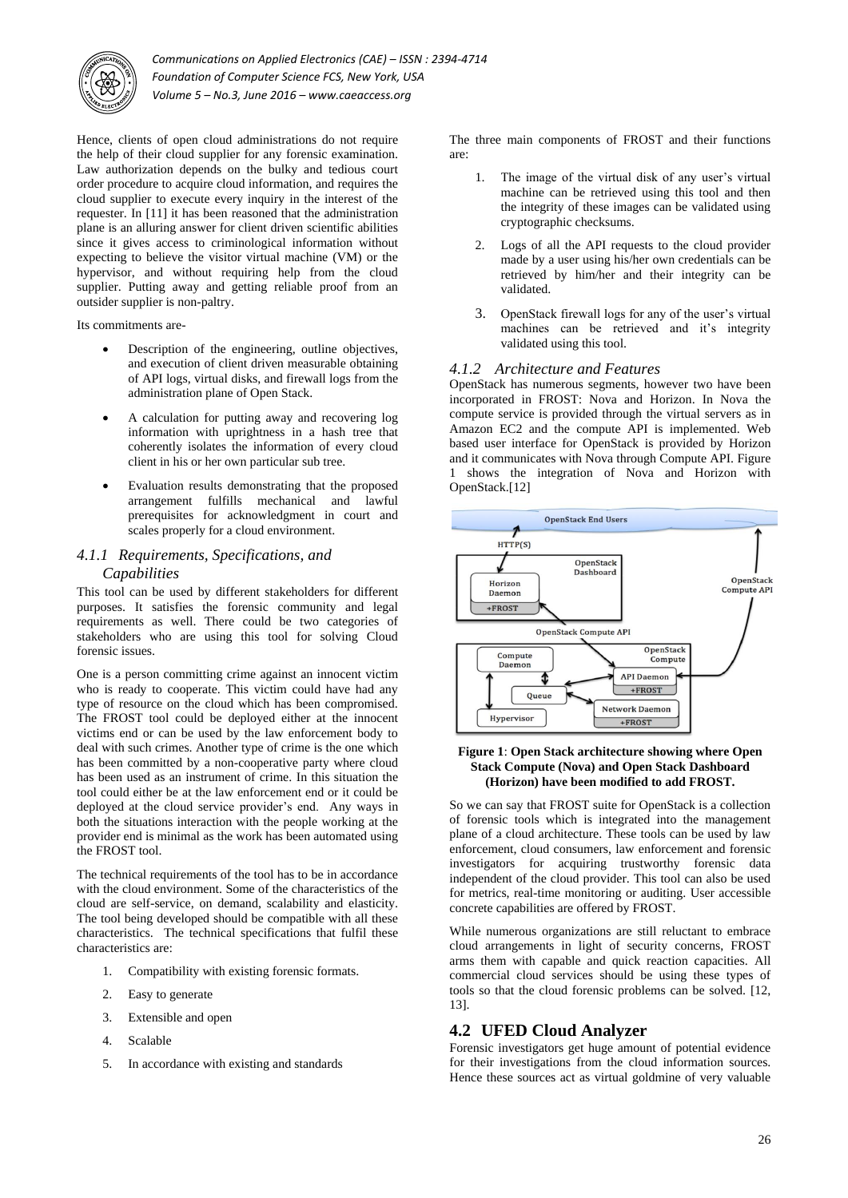

Hence, clients of open cloud administrations do not require the help of their cloud supplier for any forensic examination. Law authorization depends on the bulky and tedious court order procedure to acquire cloud information, and requires the cloud supplier to execute every inquiry in the interest of the requester. In [11] it has been reasoned that the administration plane is an alluring answer for client driven scientific abilities since it gives access to criminological information without expecting to believe the visitor virtual machine (VM) or the hypervisor, and without requiring help from the cloud supplier. Putting away and getting reliable proof from an outsider supplier is non-paltry.

Its commitments are-

- Description of the engineering, outline objectives, and execution of client driven measurable obtaining of API logs, virtual disks, and firewall logs from the administration plane of Open Stack.
- A calculation for putting away and recovering log information with uprightness in a hash tree that coherently isolates the information of every cloud client in his or her own particular sub tree.
- Evaluation results demonstrating that the proposed arrangement fulfills mechanical and lawful prerequisites for acknowledgment in court and scales properly for a cloud environment.

# *4.1.1 Requirements, Specifications, and Capabilities*

This tool can be used by different stakeholders for different purposes. It satisfies the forensic community and legal requirements as well. There could be two categories of stakeholders who are using this tool for solving Cloud forensic issues.

One is a person committing crime against an innocent victim who is ready to cooperate. This victim could have had any type of resource on the cloud which has been compromised. The FROST tool could be deployed either at the innocent victims end or can be used by the law enforcement body to deal with such crimes. Another type of crime is the one which has been committed by a non-cooperative party where cloud has been used as an instrument of crime. In this situation the tool could either be at the law enforcement end or it could be deployed at the cloud service provider's end. Any ways in both the situations interaction with the people working at the provider end is minimal as the work has been automated using the FROST tool.

The technical requirements of the tool has to be in accordance with the cloud environment. Some of the characteristics of the cloud are self-service, on demand, scalability and elasticity. The tool being developed should be compatible with all these characteristics. The technical specifications that fulfil these characteristics are:

- 1. Compatibility with existing forensic formats.
- 2. Easy to generate
- 3. Extensible and open
- 4. Scalable
- 5. In accordance with existing and standards

The three main components of FROST and their functions are:

- 1. The image of the virtual disk of any user's virtual machine can be retrieved using this tool and then the integrity of these images can be validated using cryptographic checksums.
- 2. Logs of all the API requests to the cloud provider made by a user using his/her own credentials can be retrieved by him/her and their integrity can be validated.
- 3. OpenStack firewall logs for any of the user's virtual machines can be retrieved and it's integrity validated using this tool.

#### *4.1.2 Architecture and Features*

OpenStack has numerous segments, however two have been incorporated in FROST: Nova and Horizon. In Nova the compute service is provided through the virtual servers as in Amazon EC2 and the compute API is implemented. Web based user interface for OpenStack is provided by Horizon and it communicates with Nova through Compute API. Figure 1 shows the integration of Nova and Horizon with OpenStack.[12]



#### **Figure 1**: **Open Stack architecture showing where Open Stack Compute (Nova) and Open Stack Dashboard (Horizon) have been modified to add FROST.**

So we can say that FROST suite for OpenStack is a collection of forensic tools which is integrated into the management plane of a cloud architecture. These tools can be used by law enforcement, cloud consumers, law enforcement and forensic investigators for acquiring trustworthy forensic data independent of the cloud provider. This tool can also be used for metrics, real-time monitoring or auditing. User accessible concrete capabilities are offered by FROST.

While numerous organizations are still reluctant to embrace cloud arrangements in light of security concerns, FROST arms them with capable and quick reaction capacities. All commercial cloud services should be using these types of tools so that the cloud forensic problems can be solved. [12, 13].

# **4.2 UFED Cloud Analyzer**

Forensic investigators get huge amount of potential evidence for their investigations from the cloud information sources. Hence these sources act as virtual goldmine of very valuable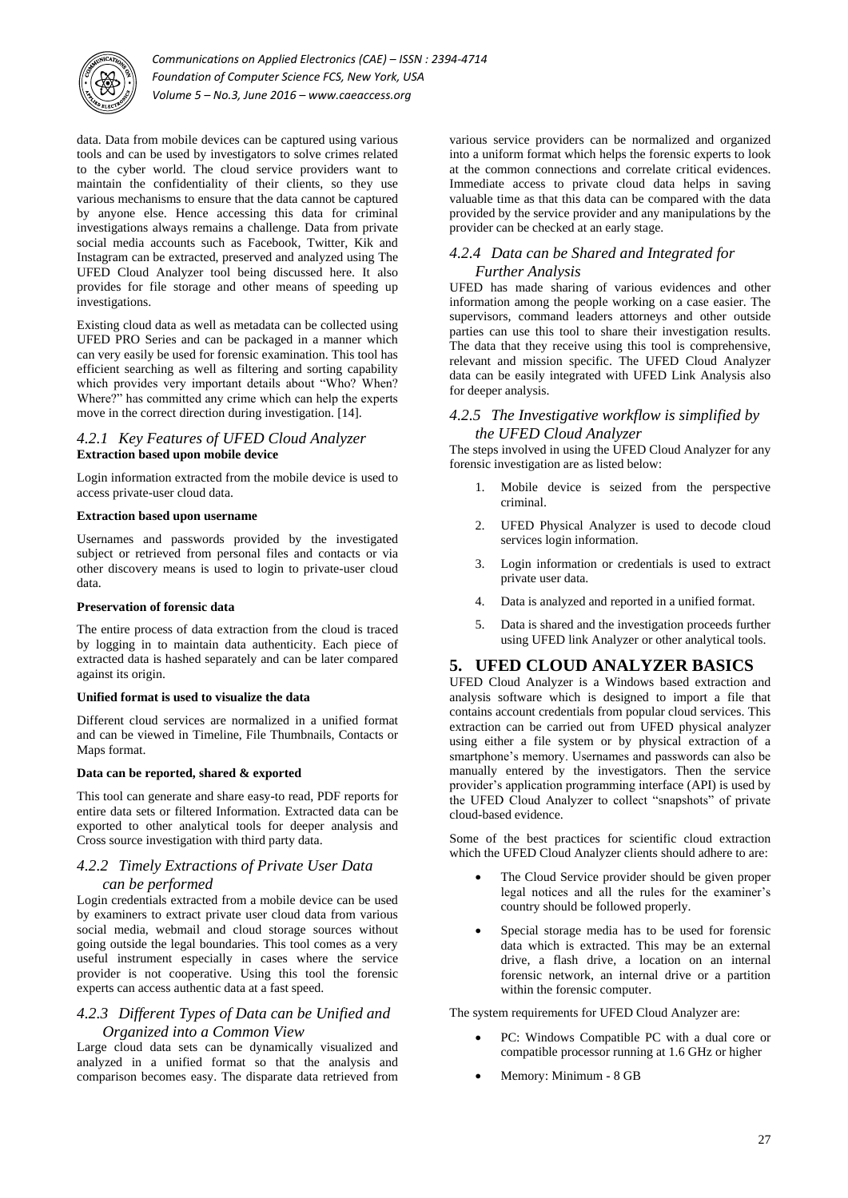

data. Data from mobile devices can be captured using various tools and can be used by investigators to solve crimes related to the cyber world. The cloud service providers want to maintain the confidentiality of their clients, so they use various mechanisms to ensure that the data cannot be captured by anyone else. Hence accessing this data for criminal investigations always remains a challenge. Data from private social media accounts such as Facebook, Twitter, Kik and Instagram can be extracted, preserved and analyzed using The UFED Cloud Analyzer tool being discussed here. It also provides for file storage and other means of speeding up investigations.

Existing cloud data as well as metadata can be collected using UFED PRO Series and can be packaged in a manner which can very easily be used for forensic examination. This tool has efficient searching as well as filtering and sorting capability which provides very important details about "Who? When? Where?" has committed any crime which can help the experts move in the correct direction during investigation. [14].

## *4.2.1 Key Features of UFED Cloud Analyzer*  **Extraction based upon mobile device**

Login information extracted from the mobile device is used to access private-user cloud data.

#### **Extraction based upon username**

Usernames and passwords provided by the investigated subject or retrieved from personal files and contacts or via other discovery means is used to login to private-user cloud data.

#### **Preservation of forensic data**

The entire process of data extraction from the cloud is traced by logging in to maintain data authenticity. Each piece of extracted data is hashed separately and can be later compared against its origin.

#### **Unified format is used to visualize the data**

Different cloud services are normalized in a unified format and can be viewed in Timeline, File Thumbnails, Contacts or Maps format.

#### **Data can be reported, shared & exported**

This tool can generate and share easy-to read, PDF reports for entire data sets or filtered Information. Extracted data can be exported to other analytical tools for deeper analysis and Cross source investigation with third party data.

#### *4.2.2 Timely Extractions of Private User Data can be performed*

Login credentials extracted from a mobile device can be used by examiners to extract private user cloud data from various social media, webmail and cloud storage sources without going outside the legal boundaries. This tool comes as a very useful instrument especially in cases where the service provider is not cooperative. Using this tool the forensic experts can access authentic data at a fast speed.

# *4.2.3 Different Types of Data can be Unified and Organized into a Common View*

Large cloud data sets can be dynamically visualized and analyzed in a unified format so that the analysis and comparison becomes easy. The disparate data retrieved from

various service providers can be normalized and organized into a uniform format which helps the forensic experts to look at the common connections and correlate critical evidences. Immediate access to private cloud data helps in saving valuable time as that this data can be compared with the data provided by the service provider and any manipulations by the provider can be checked at an early stage.

# *4.2.4 Data can be Shared and Integrated for Further Analysis*

UFED has made sharing of various evidences and other information among the people working on a case easier. The supervisors, command leaders attorneys and other outside parties can use this tool to share their investigation results. The data that they receive using this tool is comprehensive, relevant and mission specific. The UFED Cloud Analyzer data can be easily integrated with UFED Link Analysis also for deeper analysis.

#### *4.2.5 The Investigative workflow is simplified by the UFED Cloud Analyzer*

The steps involved in using the UFED Cloud Analyzer for any forensic investigation are as listed below:

- 1. Mobile device is seized from the perspective criminal.
- 2. UFED Physical Analyzer is used to decode cloud services login information.
- 3. Login information or credentials is used to extract private user data.
- 4. Data is analyzed and reported in a unified format.
- 5. Data is shared and the investigation proceeds further using UFED link Analyzer or other analytical tools.

# **5. UFED CLOUD ANALYZER BASICS**

UFED Cloud Analyzer is a Windows based extraction and analysis software which is designed to import a file that contains account credentials from popular cloud services. This extraction can be carried out from UFED physical analyzer using either a file system or by physical extraction of a smartphone's memory. Usernames and passwords can also be manually entered by the investigators. Then the service provider's application programming interface (API) is used by the UFED Cloud Analyzer to collect "snapshots" of private cloud-based evidence.

Some of the best practices for scientific cloud extraction which the UFED Cloud Analyzer clients should adhere to are:

- The Cloud Service provider should be given proper legal notices and all the rules for the examiner's country should be followed properly.
- Special storage media has to be used for forensic data which is extracted. This may be an external drive, a flash drive, a location on an internal forensic network, an internal drive or a partition within the forensic computer.

The system requirements for UFED Cloud Analyzer are:

- PC: Windows Compatible PC with a dual core or compatible processor running at 1.6 GHz or higher
- Memory: Minimum 8 GB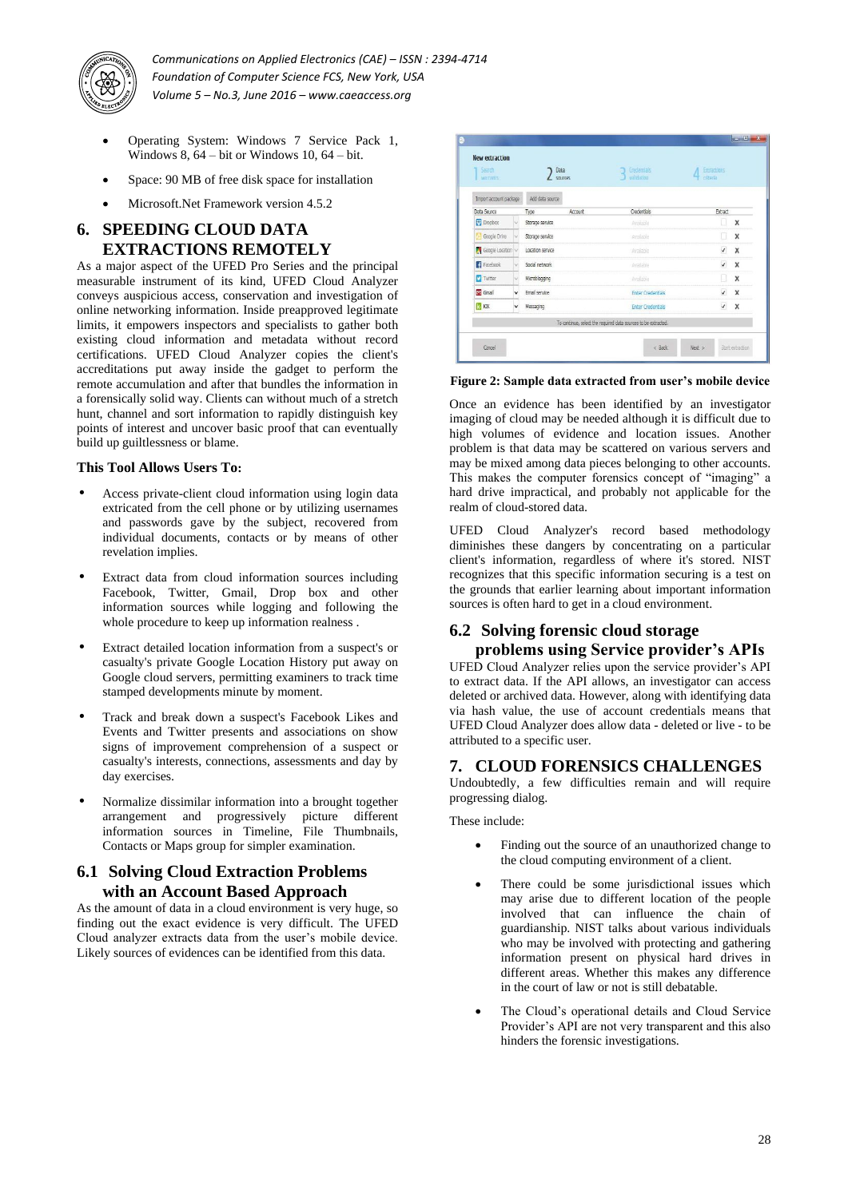

- Operating System: Windows 7 Service Pack 1, Windows 8, 64 – bit or Windows 10, 64 – bit.
- Space: 90 MB of free disk space for installation
- Microsoft.Net Framework version 4.5.2

# **6. SPEEDING CLOUD DATA EXTRACTIONS REMOTELY**

As a major aspect of the UFED Pro Series and the principal measurable instrument of its kind, UFED Cloud Analyzer conveys auspicious access, conservation and investigation of online networking information. Inside preapproved legitimate limits, it empowers inspectors and specialists to gather both existing cloud information and metadata without record certifications. UFED Cloud Analyzer copies the client's accreditations put away inside the gadget to perform the remote accumulation and after that bundles the information in a forensically solid way. Clients can without much of a stretch hunt, channel and sort information to rapidly distinguish key points of interest and uncover basic proof that can eventually build up guiltlessness or blame.

# **This Tool Allows Users To:**

- Access private-client cloud information using login data extricated from the cell phone or by utilizing usernames and passwords gave by the subject, recovered from individual documents, contacts or by means of other revelation implies.
- Extract data from cloud information sources including Facebook, Twitter, Gmail, Drop box and other information sources while logging and following the whole procedure to keep up information realness .
- Extract detailed location information from a suspect's or casualty's private Google Location History put away on Google cloud servers, permitting examiners to track time stamped developments minute by moment.
- Track and break down a suspect's Facebook Likes and Events and Twitter presents and associations on show signs of improvement comprehension of a suspect or casualty's interests, connections, assessments and day by day exercises.
- Normalize dissimilar information into a brought together arrangement and progressively picture different information sources in Timeline, File Thumbnails, Contacts or Maps group for simpler examination.

# **6.1 Solving Cloud Extraction Problems with an Account Based Approach**

As the amount of data in a cloud environment is very huge, so finding out the exact evidence is very difficult. The UFED Cloud analyzer extracts data from the user's mobile device. Likely sources of evidences can be identified from this data.

| Search<br><b>Warrants</b> |              | Data<br>courrest | <b>D</b> Credentials<br>$\Box$ validation                      | <b>Enractions</b><br>criteria |                           |
|---------------------------|--------------|------------------|----------------------------------------------------------------|-------------------------------|---------------------------|
| Import account package    |              | Add data source  |                                                                |                               |                           |
| Data Source               |              | Account<br>Type  | Credentials                                                    | <b>Extract</b>                |                           |
| <b>Dropbox</b>            |              | Storage service  | Available                                                      |                               | x                         |
| Google Drive              | <b>Isc</b>   | Storage service  | Available                                                      |                               | $\boldsymbol{\mathsf{x}}$ |
| Google Location           |              | Location service | Available                                                      | $\checkmark$                  | X                         |
| Facebook                  | v            | Social network   | Available                                                      | $\checkmark$                  | $\boldsymbol{\mathsf{x}}$ |
| Twitter                   | $\omega$     | Microblogging    | Available                                                      | Ы                             | $\mathbf x$               |
| <b>Q</b> Gmail            | v            | Fmail service    | <b>Enter Credentials</b>                                       | $\overline{ }$                | $\mathsf{x}$              |
| <b>R</b> KK               | $\checkmark$ | Messaging        | <b>Enter Credentials</b>                                       | $\checkmark$                  | $\pmb{\times}$            |
|                           |              |                  | To continue, select the required data sources to be extracted. |                               |                           |

**Figure 2: Sample data extracted from user's mobile device**

Once an evidence has been identified by an investigator imaging of cloud may be needed although it is difficult due to high volumes of evidence and location issues. Another problem is that data may be scattered on various servers and may be mixed among data pieces belonging to other accounts. This makes the computer forensics concept of "imaging" a hard drive impractical, and probably not applicable for the realm of cloud-stored data.

UFED Cloud Analyzer's record based methodology diminishes these dangers by concentrating on a particular client's information, regardless of where it's stored. NIST recognizes that this specific information securing is a test on the grounds that earlier learning about important information sources is often hard to get in a cloud environment.

# **6.2 Solving forensic cloud storage**

# **problems using Service provider's APIs**

UFED Cloud Analyzer relies upon the service provider's API to extract data. If the API allows, an investigator can access deleted or archived data. However, along with identifying data via hash value, the use of account credentials means that UFED Cloud Analyzer does allow data - deleted or live - to be attributed to a specific user.

# **7. CLOUD FORENSICS CHALLENGES**

Undoubtedly, a few difficulties remain and will require progressing dialog.

These include:

- Finding out the source of an unauthorized change to the cloud computing environment of a client.
- There could be some jurisdictional issues which may arise due to different location of the people involved that can influence the chain of guardianship. NIST talks about various individuals who may be involved with protecting and gathering information present on physical hard drives in different areas. Whether this makes any difference in the court of law or not is still debatable.
- The Cloud's operational details and Cloud Service Provider's API are not very transparent and this also hinders the forensic investigations.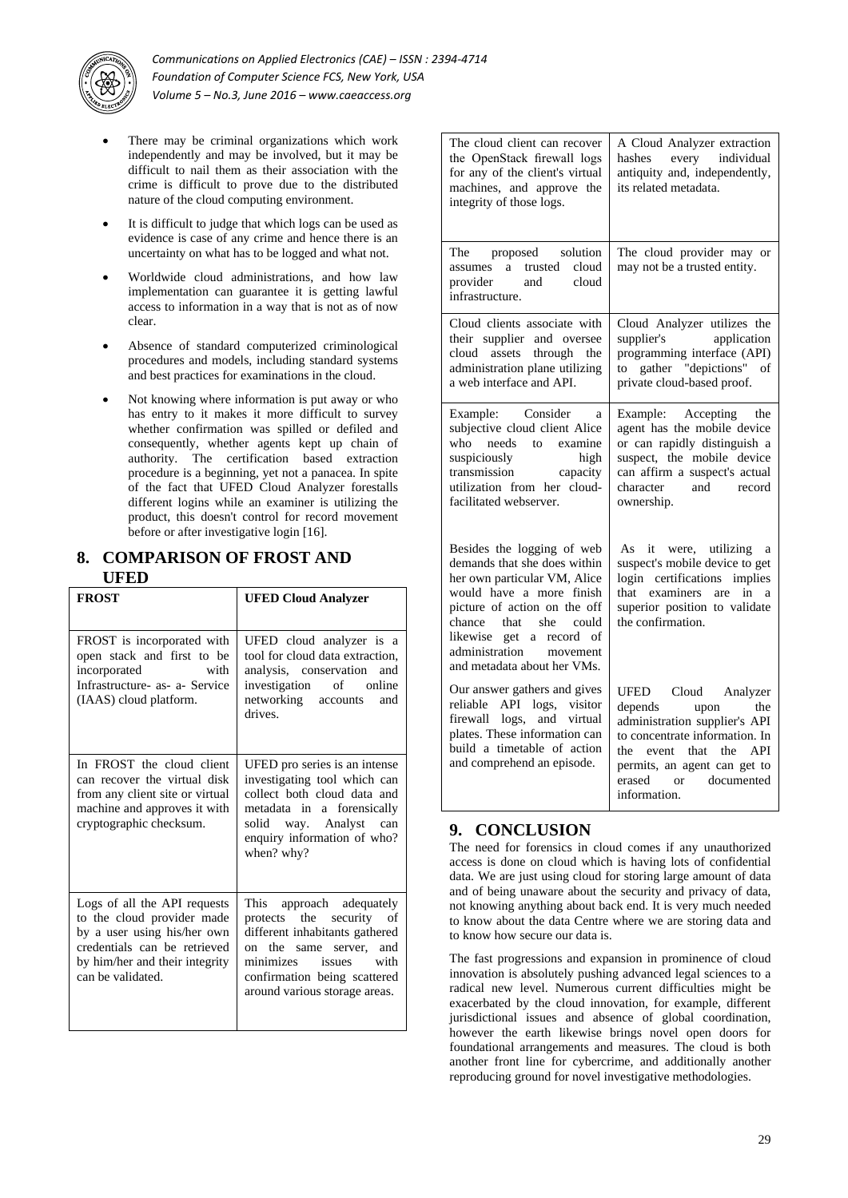

- There may be criminal organizations which work independently and may be involved, but it may be difficult to nail them as their association with the crime is difficult to prove due to the distributed nature of the cloud computing environment.
- It is difficult to judge that which logs can be used as evidence is case of any crime and hence there is an uncertainty on what has to be logged and what not.
- Worldwide cloud administrations, and how law implementation can guarantee it is getting lawful access to information in a way that is not as of now clear.
- Absence of standard computerized criminological procedures and models, including standard systems and best practices for examinations in the cloud.
- Not knowing where information is put away or who has entry to it makes it more difficult to survey whether confirmation was spilled or defiled and consequently, whether agents kept up chain of authority. The certification based extraction procedure is a beginning, yet not a panacea. In spite of the fact that UFED Cloud Analyzer forestalls different logins while an examiner is utilizing the product, this doesn't control for record movement before or after investigative login [16].

# **8. COMPARISON OF FROST AND UFED**

| யம                                                                                                                                                                               |                                                                                                                                                                                                                |
|----------------------------------------------------------------------------------------------------------------------------------------------------------------------------------|----------------------------------------------------------------------------------------------------------------------------------------------------------------------------------------------------------------|
| <b>FROST</b>                                                                                                                                                                     | <b>UFED Cloud Analyzer</b>                                                                                                                                                                                     |
| FROST is incorporated with<br>open stack and first to be<br>incorporated with<br>Infrastructure- as- a- Service<br>(IAAS) cloud platform.                                        | UFED cloud analyzer is a<br>tool for cloud data extraction,<br>analysis, conservation and<br>investigation of online<br>networking accounts<br>and<br>drives.                                                  |
| In FROST the cloud client<br>can recover the virtual disk<br>from any client site or virtual<br>machine and approves it with<br>cryptographic checksum.                          | UFED pro series is an intense<br>investigating tool which can<br>collect both cloud data and<br>metadata in a forensically<br>solid way. Analyst can<br>enquiry information of who?<br>when? why?              |
| Logs of all the API requests<br>to the cloud provider made<br>by a user using his/her own<br>credentials can be retrieved<br>by him/her and their integrity<br>can be validated. | This approach adequately<br>protects the<br>security of<br>different inhabitants gathered<br>on the same server, and<br>minimizes issues with<br>confirmation being scattered<br>around various storage areas. |

| The cloud client can recover<br>the OpenStack firewall logs<br>for any of the client's virtual<br>machines, and approve<br>the<br>integrity of those logs.                                                                                                                  | A Cloud Analyzer extraction<br>hashes every individual<br>antiquity and, independently,<br>its related metadata.                                                                                                            |
|-----------------------------------------------------------------------------------------------------------------------------------------------------------------------------------------------------------------------------------------------------------------------------|-----------------------------------------------------------------------------------------------------------------------------------------------------------------------------------------------------------------------------|
| The proposed<br>solution<br>assumes a trusted cloud<br>provider<br>cloud<br>and<br>infrastructure.                                                                                                                                                                          | The cloud provider may or<br>may not be a trusted entity.                                                                                                                                                                   |
| Cloud clients associate with<br>their supplier and oversee<br>cloud assets<br>through<br>the<br>administration plane utilizing<br>a web interface and API.                                                                                                                  | Cloud Analyzer utilizes the<br>supplier's application<br>programming interface (API)<br>gather "depictions" of<br>to<br>private cloud-based proof.                                                                          |
| Example: Consider<br>a<br>subjective cloud client Alice<br>who<br>needs to examine<br>suspiciously<br>high<br>transmission capacity<br>utilization from her cloud-<br>facilitated webserver.                                                                                | Example: Accepting<br>the<br>agent has the mobile device<br>or can rapidly distinguish a<br>suspect, the mobile device<br>can affirm a suspect's actual<br>character<br>and<br>record<br>ownership.                         |
| Besides the logging of web<br>demands that she does within<br>her own particular VM, Alice<br>would have a more finish<br>picture of action on the off<br>could<br>chance that<br>she<br>likewise get a record of<br>administration movement<br>and metadata about her VMs. | As it were, utilizing a<br>suspect's mobile device to get<br>login certifications implies<br>examiners are<br>that<br>in<br>a<br>superior position to validate<br>the confirmation.                                         |
| Our answer gathers and gives<br>API logs, visitor<br>reliable<br>firewall logs, and virtual<br>plates. These information can<br>build a timetable of action<br>and comprehend an episode.                                                                                   | UFED Cloud Analyzer<br>depends<br>the<br>upon<br>administration supplier's API<br>to concentrate information. In<br>the event that<br>API<br>the<br>permits, an agent can get to<br>erased<br>or documented<br>information. |

# **9. CONCLUSION**

The need for forensics in cloud comes if any unauthorized access is done on cloud which is having lots of confidential data. We are just using cloud for storing large amount of data and of being unaware about the security and privacy of data, not knowing anything about back end. It is very much needed to know about the data Centre where we are storing data and to know how secure our data is.

The fast progressions and expansion in prominence of cloud innovation is absolutely pushing advanced legal sciences to a radical new level. Numerous current difficulties might be exacerbated by the cloud innovation, for example, different jurisdictional issues and absence of global coordination, however the earth likewise brings novel open doors for foundational arrangements and measures. The cloud is both another front line for cybercrime, and additionally another reproducing ground for novel investigative methodologies.